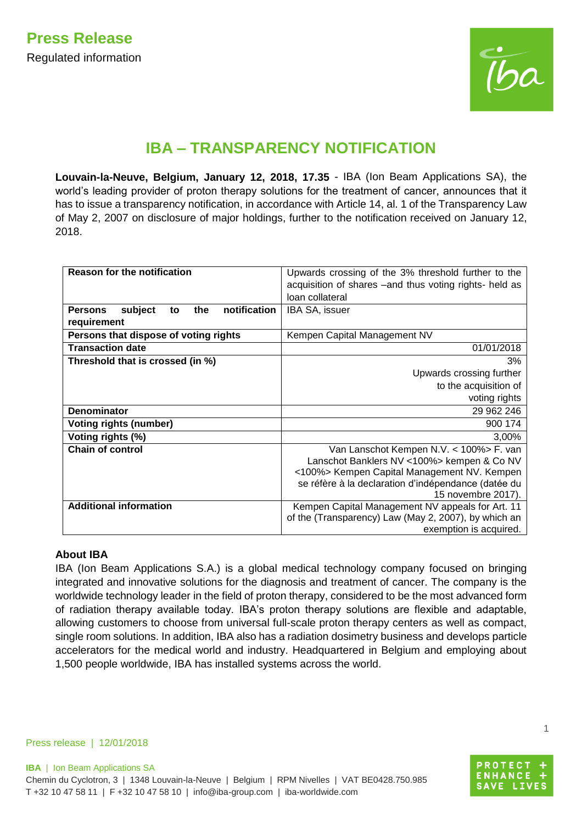

## **IBA – TRANSPARENCY NOTIFICATION**

**Louvain-la-Neuve, Belgium, January 12, 2018, 17.35** - IBA (Ion Beam Applications SA), the world's leading provider of proton therapy solutions for the treatment of cancer, announces that it has to issue a transparency notification, in accordance with Article 14, al. 1 of the Transparency Law of May 2, 2007 on disclosure of major holdings, further to the notification received on January 12, 2018.

| <b>Reason for the notification</b>                     | Upwards crossing of the 3% threshold further to the     |
|--------------------------------------------------------|---------------------------------------------------------|
|                                                        | acquisition of shares – and thus voting rights- held as |
|                                                        | loan collateral                                         |
| subject<br>notification<br><b>Persons</b><br>the<br>to | IBA SA, issuer                                          |
| requirement                                            |                                                         |
| Persons that dispose of voting rights                  | Kempen Capital Management NV                            |
| <b>Transaction date</b>                                | 01/01/2018                                              |
| Threshold that is crossed (in %)                       | 3%                                                      |
|                                                        | Upwards crossing further                                |
|                                                        | to the acquisition of                                   |
|                                                        | voting rights                                           |
| <b>Denominator</b>                                     | 29 962 246                                              |
| <b>Voting rights (number)</b>                          | 900 174                                                 |
| Voting rights (%)                                      | 3,00%                                                   |
| <b>Chain of control</b>                                | Van Lanschot Kempen N.V. < 100%> F. van                 |
|                                                        | Lanschot Banklers NV <100%> kempen & Co NV              |
|                                                        | <100%> Kempen Capital Management NV. Kempen             |
|                                                        | se réfère à la declaration d'indépendance (datée du     |
|                                                        | 15 novembre 2017).                                      |
| <b>Additional information</b>                          | Kempen Capital Management NV appeals for Art. 11        |
|                                                        | of the (Transparency) Law (May 2, 2007), by which an    |
|                                                        | exemption is acquired.                                  |

## **About IBA**

IBA (Ion Beam Applications S.A.) is a global medical technology company focused on bringing integrated and innovative solutions for the diagnosis and treatment of cancer. The company is the worldwide technology leader in the field of proton therapy, considered to be the most advanced form of radiation therapy available today. IBA's proton therapy solutions are flexible and adaptable, allowing customers to choose from universal full-scale proton therapy centers as well as compact, single room solutions. In addition, IBA also has a radiation dosimetry business and develops particle accelerators for the medical world and industry. Headquartered in Belgium and employing about 1,500 people worldwide, IBA has installed systems across the world.